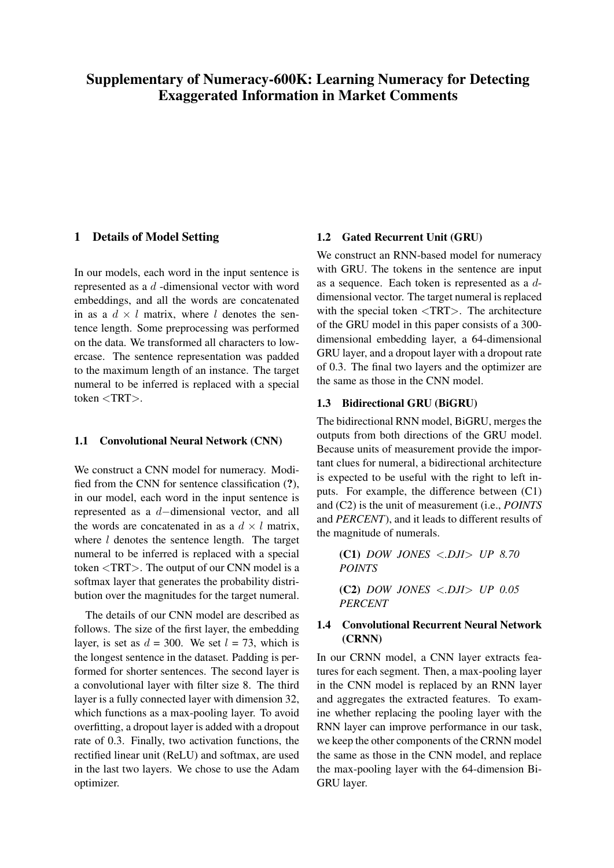#### 1 Details of Model Setting

In our models, each word in the input sentence is represented as a d -dimensional vector with word embeddings, and all the words are concatenated in as a  $d \times l$  matrix, where l denotes the sentence length. Some preprocessing was performed on the data. We transformed all characters to lowercase. The sentence representation was padded to the maximum length of an instance. The target numeral to be inferred is replaced with a special token <TRT>.

#### 1.1 Convolutional Neural Network (CNN)

We construct a CNN model for numeracy. Modified from the CNN for sentence classification (?), in our model, each word in the input sentence is represented as a d−dimensional vector, and all the words are concatenated in as a  $d \times l$  matrix, where  $l$  denotes the sentence length. The target numeral to be inferred is replaced with a special token <TRT>. The output of our CNN model is a softmax layer that generates the probability distribution over the magnitudes for the target numeral.

The details of our CNN model are described as follows. The size of the first layer, the embedding layer, is set as  $d = 300$ . We set  $l = 73$ , which is the longest sentence in the dataset. Padding is performed for shorter sentences. The second layer is a convolutional layer with filter size 8. The third layer is a fully connected layer with dimension 32, which functions as a max-pooling layer. To avoid overfitting, a dropout layer is added with a dropout rate of 0.3. Finally, two activation functions, the rectified linear unit (ReLU) and softmax, are used in the last two layers. We chose to use the Adam optimizer.

#### 1.2 Gated Recurrent Unit (GRU)

We construct an RNN-based model for numeracy with GRU. The tokens in the sentence are input as a sequence. Each token is represented as a ddimensional vector. The target numeral is replaced with the special token  $\langle \text{TRT} \rangle$ . The architecture of the GRU model in this paper consists of a 300 dimensional embedding layer, a 64-dimensional GRU layer, and a dropout layer with a dropout rate of 0.3. The final two layers and the optimizer are the same as those in the CNN model.

#### 1.3 Bidirectional GRU (BiGRU)

The bidirectional RNN model, BiGRU, merges the outputs from both directions of the GRU model. Because units of measurement provide the important clues for numeral, a bidirectional architecture is expected to be useful with the right to left inputs. For example, the difference between (C1) and (C2) is the unit of measurement (i.e., *POINTS* and *PERCENT*), and it leads to different results of the magnitude of numerals.

(C1) *DOW JONES* <*.DJI*> *UP 8.70 POINTS* (C2) *DOW JONES* <*.DJI*> *UP 0.05 PERCENT*

#### 1.4 Convolutional Recurrent Neural Network (CRNN)

In our CRNN model, a CNN layer extracts features for each segment. Then, a max-pooling layer in the CNN model is replaced by an RNN layer and aggregates the extracted features. To examine whether replacing the pooling layer with the RNN layer can improve performance in our task, we keep the other components of the CRNN model the same as those in the CNN model, and replace the max-pooling layer with the 64-dimension Bi-GRU layer.